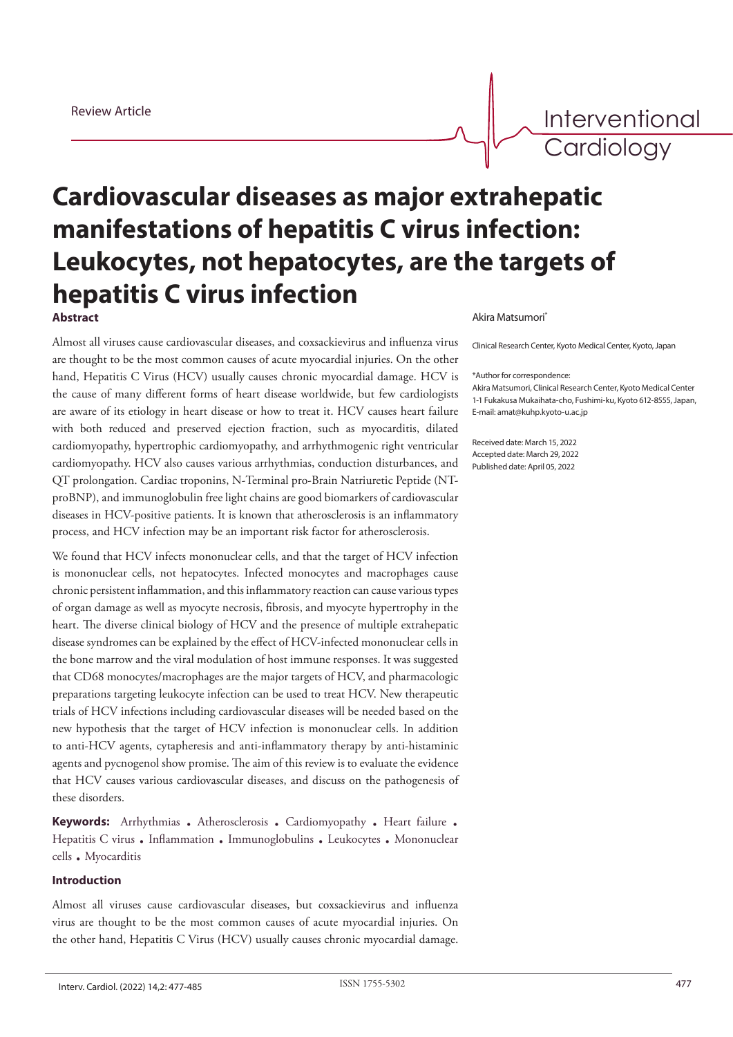Interventional **Cardiology** 

# **Cardiovascular diseases as major extrahepatic manifestations of hepatitis C virus infection: Leukocytes, not hepatocytes, are the targets of hepatitis C virus infection** Akira Matsumori\* **Abstract**

Almost all viruses cause cardiovascular diseases, and coxsackievirus and influenza virus are thought to be the most common causes of acute myocardial injuries. On the other hand, Hepatitis C Virus (HCV) usually causes chronic myocardial damage. HCV is the cause of many different forms of heart disease worldwide, but few cardiologists are aware of its etiology in heart disease or how to treat it. HCV causes heart failure with both reduced and preserved ejection fraction, such as myocarditis, dilated cardiomyopathy, hypertrophic cardiomyopathy, and arrhythmogenic right ventricular cardiomyopathy. HCV also causes various arrhythmias, conduction disturbances, and QT prolongation. Cardiac troponins, N-Terminal pro-Brain Natriuretic Peptide (NTproBNP), and immunoglobulin free light chains are good biomarkers of cardiovascular diseases in HCV-positive patients. It is known that atherosclerosis is an inflammatory process, and HCV infection may be an important risk factor for atherosclerosis.

We found that HCV infects mononuclear cells, and that the target of HCV infection is mononuclear cells, not hepatocytes. Infected monocytes and macrophages cause chronic persistent inflammation, and this inflammatory reaction can cause various types of organ damage as well as myocyte necrosis, fibrosis, and myocyte hypertrophy in the heart. The diverse clinical biology of HCV and the presence of multiple extrahepatic disease syndromes can be explained by the effect of HCV-infected mononuclear cells in the bone marrow and the viral modulation of host immune responses. It was suggested that CD68 monocytes/macrophages are the major targets of HCV, and pharmacologic preparations targeting leukocyte infection can be used to treat HCV. New therapeutic trials of HCV infections including cardiovascular diseases will be needed based on the new hypothesis that the target of HCV infection is mononuclear cells. In addition to anti-HCV agents, cytapheresis and anti-inflammatory therapy by anti-histaminic agents and pycnogenol show promise. The aim of this review is to evaluate the evidence that HCV causes various cardiovascular diseases, and discuss on the pathogenesis of these disorders.

**Keywords:** Arrhythmias . Atherosclerosis . Cardiomyopathy . Heart failure . Hepatitis C virus . Inflammation . Immunoglobulins . Leukocytes . Mononuclear cells . Myocarditis

### **Introduction**

Almost all viruses cause cardiovascular diseases, but coxsackievirus and influenza virus are thought to be the most common causes of acute myocardial injuries. On the other hand, Hepatitis C Virus (HCV) usually causes chronic myocardial damage.

Clinical Research Center, Kyoto Medical Center, Kyoto, Japan

\*Author for correspondence:

Akira Matsumori, Clinical Research Center, Kyoto Medical Center 1-1 Fukakusa Mukaihata-cho, Fushimi-ku, Kyoto 612-8555, Japan, E-mail: amat@kuhp.kyoto-u.ac.jp

Received date: March 15, 2022 Accepted date: March 29, 2022 Published date: April 05, 2022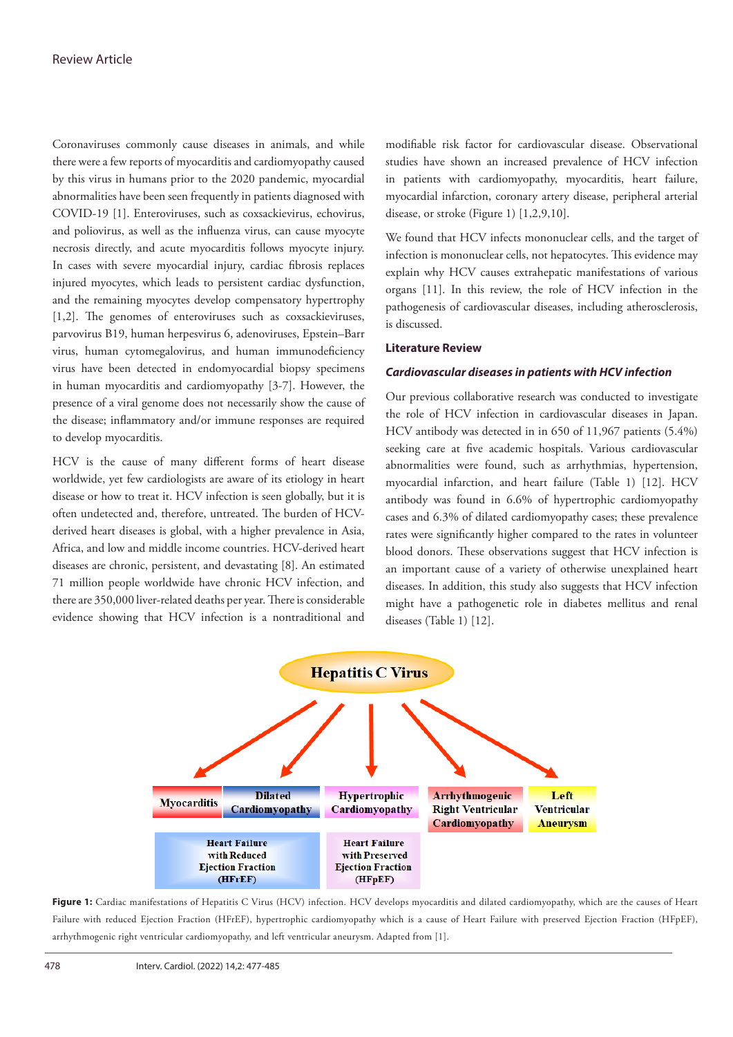Coronaviruses commonly cause diseases in animals, and while there were a few reports of myocarditis and cardiomyopathy caused by this virus in humans prior to the 2020 pandemic, myocardial abnormalities have been seen frequently in patients diagnosed with COVID-19 [1]. Enteroviruses, such as coxsackievirus, echovirus, and poliovirus, as well as the influenza virus, can cause myocyte necrosis directly, and acute myocarditis follows myocyte injury. In cases with severe myocardial injury, cardiac fibrosis replaces injured myocytes, which leads to persistent cardiac dysfunction, and the remaining myocytes develop compensatory hypertrophy [1,2]. The genomes of enteroviruses such as coxsackieviruses, parvovirus B19, human herpesvirus 6, adenoviruses, Epstein–Barr virus, human cytomegalovirus, and human immunodeficiency virus have been detected in endomyocardial biopsy specimens in human myocarditis and cardiomyopathy [3-7]. However, the presence of a viral genome does not necessarily show the cause of the disease; inflammatory and/or immune responses are required to develop myocarditis.

HCV is the cause of many different forms of heart disease worldwide, yet few cardiologists are aware of its etiology in heart disease or how to treat it. HCV infection is seen globally, but it is often undetected and, therefore, untreated. The burden of HCVderived heart diseases is global, with a higher prevalence in Asia, Africa, and low and middle income countries. HCV-derived heart diseases are chronic, persistent, and devastating [8]. An estimated 71 million people worldwide have chronic HCV infection, and there are 350,000 liver-related deaths per year. There is considerable evidence showing that HCV infection is a nontraditional and modifiable risk factor for cardiovascular disease. Observational studies have shown an increased prevalence of HCV infection in patients with cardiomyopathy, myocarditis, heart failure, myocardial infarction, coronary artery disease, peripheral arterial disease, or stroke (Figure 1) [1,2,9,10].

We found that HCV infects mononuclear cells, and the target of infection is mononuclear cells, not hepatocytes. This evidence may explain why HCV causes extrahepatic manifestations of various organs [11]. In this review, the role of HCV infection in the pathogenesis of cardiovascular diseases, including atherosclerosis, is discussed.

### **Literature Review**

### *Cardiovascular diseases in patients with HCV infection*

Our previous collaborative research was conducted to investigate the role of HCV infection in cardiovascular diseases in Japan. HCV antibody was detected in in 650 of 11,967 patients (5.4%) seeking care at five academic hospitals. Various cardiovascular abnormalities were found, such as arrhythmias, hypertension, myocardial infarction, and heart failure (Table 1) [12]. HCV antibody was found in 6.6% of hypertrophic cardiomyopathy cases and 6.3% of dilated cardiomyopathy cases; these prevalence rates were significantly higher compared to the rates in volunteer blood donors. These observations suggest that HCV infection is an important cause of a variety of otherwise unexplained heart diseases. In addition, this study also suggests that HCV infection might have a pathogenetic role in diabetes mellitus and renal diseases (Table 1) [12].



Figure 1: Cardiac manifestations of Hepatitis C Virus (HCV) infection. HCV develops myocarditis and dilated cardiomyopathy, which are the causes of Heart Failure with reduced Ejection Fraction (HFrEF), hypertrophic cardiomyopathy which is a cause of Heart Failure with preserved Ejection Fraction (HFpEF), arrhythmogenic right ventricular cardiomyopathy, and left ventricular aneurysm. Adapted from [1].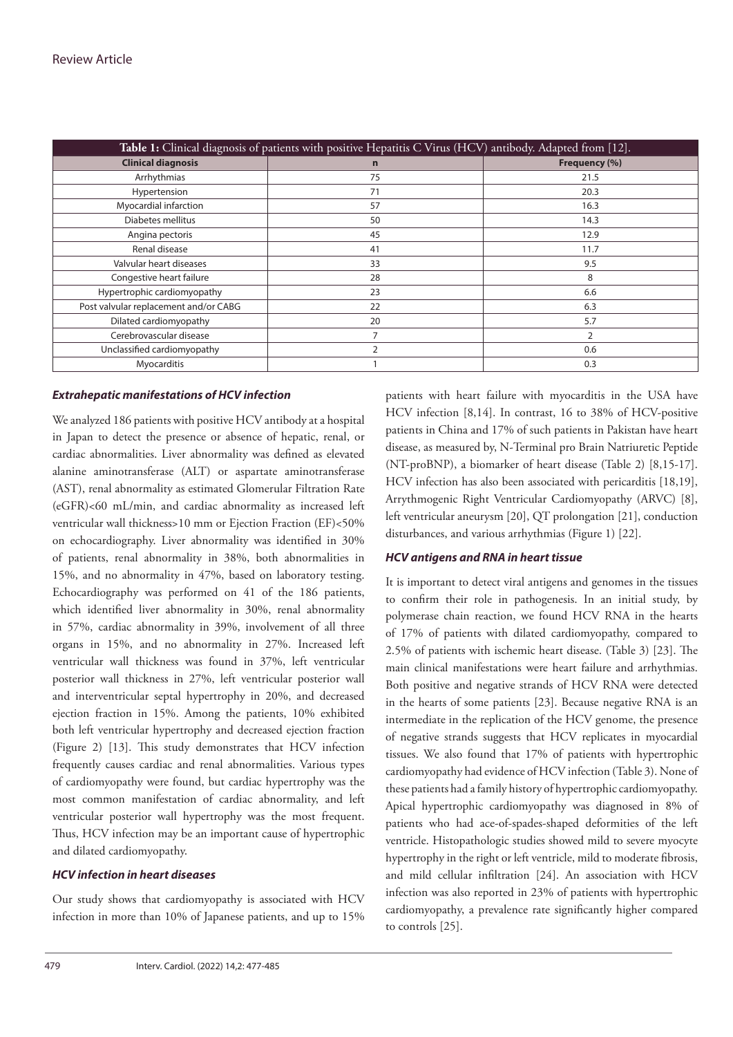| Table 1: Clinical diagnosis of patients with positive Hepatitis C Virus (HCV) antibody. Adapted from [12]. |                |               |  |  |  |
|------------------------------------------------------------------------------------------------------------|----------------|---------------|--|--|--|
| <b>Clinical diagnosis</b>                                                                                  | $\mathbf n$    | Frequency (%) |  |  |  |
| Arrhythmias                                                                                                | 75             | 21.5          |  |  |  |
| Hypertension                                                                                               | 71             | 20.3          |  |  |  |
| Myocardial infarction                                                                                      | 57             | 16.3          |  |  |  |
| Diabetes mellitus                                                                                          | 50             | 14.3          |  |  |  |
| Angina pectoris                                                                                            | 45             | 12.9          |  |  |  |
| Renal disease                                                                                              | 41             | 11.7          |  |  |  |
| Valvular heart diseases                                                                                    | 33             | 9.5           |  |  |  |
| Congestive heart failure                                                                                   | 28             | 8             |  |  |  |
| Hypertrophic cardiomyopathy                                                                                | 23             | 6.6           |  |  |  |
| Post valvular replacement and/or CABG                                                                      | 22             | 6.3           |  |  |  |
| Dilated cardiomyopathy                                                                                     | 20             | 5.7           |  |  |  |
| Cerebrovascular disease                                                                                    |                | 2             |  |  |  |
| Unclassified cardiomyopathy                                                                                | $\mathfrak{D}$ | 0.6           |  |  |  |
| Myocarditis                                                                                                |                | 0.3           |  |  |  |

### *Extrahepatic manifestations of HCV infection*

We analyzed 186 patients with positive HCV antibody at a hospital in Japan to detect the presence or absence of hepatic, renal, or cardiac abnormalities. Liver abnormality was defined as elevated alanine aminotransferase (ALT) or aspartate aminotransferase (AST), renal abnormality as estimated Glomerular Filtration Rate (eGFR)<60 mL/min, and cardiac abnormality as increased left ventricular wall thickness>10 mm or Ejection Fraction (EF)<50% on echocardiography. Liver abnormality was identified in 30% of patients, renal abnormality in 38%, both abnormalities in 15%, and no abnormality in 47%, based on laboratory testing. Echocardiography was performed on 41 of the 186 patients, which identified liver abnormality in 30%, renal abnormality in 57%, cardiac abnormality in 39%, involvement of all three organs in 15%, and no abnormality in 27%. Increased left ventricular wall thickness was found in 37%, left ventricular posterior wall thickness in 27%, left ventricular posterior wall and interventricular septal hypertrophy in 20%, and decreased ejection fraction in 15%. Among the patients, 10% exhibited both left ventricular hypertrophy and decreased ejection fraction (Figure 2) [13]. This study demonstrates that HCV infection frequently causes cardiac and renal abnormalities. Various types of cardiomyopathy were found, but cardiac hypertrophy was the most common manifestation of cardiac abnormality, and left ventricular posterior wall hypertrophy was the most frequent. Thus, HCV infection may be an important cause of hypertrophic and dilated cardiomyopathy.

#### *HCV infection in heart diseases*

Our study shows that cardiomyopathy is associated with HCV infection in more than 10% of Japanese patients, and up to 15% patients with heart failure with myocarditis in the USA have HCV infection [8,14]. In contrast, 16 to 38% of HCV-positive patients in China and 17% of such patients in Pakistan have heart disease, as measured by, N-Terminal pro Brain Natriuretic Peptide (NT-proBNP), a biomarker of heart disease (Table 2) [8,15-17]. HCV infection has also been associated with pericarditis [18,19], Arrythmogenic Right Ventricular Cardiomyopathy (ARVC) [8], left ventricular aneurysm [20], QT prolongation [21], conduction disturbances, and various arrhythmias (Figure 1) [22].

### *HCV antigens and RNA in heart tissue*

It is important to detect viral antigens and genomes in the tissues to confirm their role in pathogenesis. In an initial study, by polymerase chain reaction, we found HCV RNA in the hearts of 17% of patients with dilated cardiomyopathy, compared to 2.5% of patients with ischemic heart disease. (Table 3) [23]. The main clinical manifestations were heart failure and arrhythmias. Both positive and negative strands of HCV RNA were detected in the hearts of some patients [23]. Because negative RNA is an intermediate in the replication of the HCV genome, the presence of negative strands suggests that HCV replicates in myocardial tissues. We also found that 17% of patients with hypertrophic cardiomyopathy had evidence of HCV infection (Table 3). None of these patients had a family history of hypertrophic cardiomyopathy. Apical hypertrophic cardiomyopathy was diagnosed in 8% of patients who had ace-of-spades-shaped deformities of the left ventricle. Histopathologic studies showed mild to severe myocyte hypertrophy in the right or left ventricle, mild to moderate fibrosis, and mild cellular infiltration [24]. An association with HCV infection was also reported in 23% of patients with hypertrophic cardiomyopathy, a prevalence rate significantly higher compared to controls [25].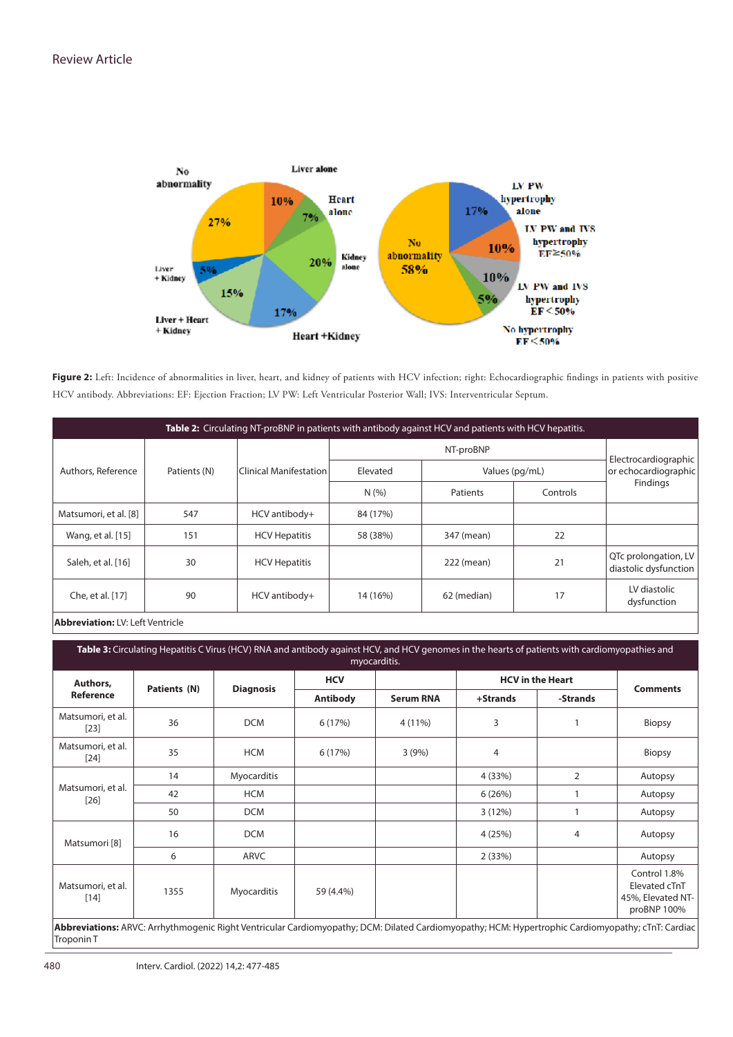

Figure 2: Left: Incidence of abnormalities in liver, heart, and kidney of patients with HCV infection; right: Echocardiographic findings in patients with positive HCV antibody. Abbreviations: EF: Ejection Fraction; LV PW: Left Ventricular Posterior Wall; IVS: Interventricular Septum.

| Table 2: Circulating NT-proBNP in patients with antibody against HCV and patients with HCV hepatitis. |     |                               |           |                |    |                                               |  |
|-------------------------------------------------------------------------------------------------------|-----|-------------------------------|-----------|----------------|----|-----------------------------------------------|--|
| Authors, Reference<br>Patients (N)                                                                    |     | <b>Clinical Manifestation</b> | NT-proBNP |                |    | Electrocardiographic                          |  |
|                                                                                                       |     |                               | Elevated  | Values (pg/mL) |    | or echocardiographic<br><b>Findings</b>       |  |
|                                                                                                       |     | N(%                           | Patients  | Controls       |    |                                               |  |
| Matsumori, et al. [8]                                                                                 | 547 | HCV antibody+                 | 84 (17%)  |                |    |                                               |  |
| Wang, et al. [15]                                                                                     | 151 | <b>HCV Hepatitis</b>          | 58 (38%)  | 347 (mean)     | 22 |                                               |  |
| Saleh, et al. [16]                                                                                    | 30  | <b>HCV Hepatitis</b>          |           | 222 (mean)     | 21 | QTc prolongation, LV<br>diastolic dysfunction |  |
| Che, et al. [17]                                                                                      | 90  | HCV antibody+                 | 14 (16%)  | 62 (median)    | 17 | LV diastolic<br>dysfunction                   |  |
|                                                                                                       |     |                               |           |                |    |                                               |  |

**Abbreviation:** LV: Left Ventricle

| myocarditis.                |              |                  |                               |                  |                         |          |                                                                   |  |
|-----------------------------|--------------|------------------|-------------------------------|------------------|-------------------------|----------|-------------------------------------------------------------------|--|
| Authors,<br>Reference       | Patients (N) | <b>Diagnosis</b> | <b>HCV</b><br><b>Antibody</b> | <b>Serum RNA</b> | <b>HCV</b> in the Heart |          | <b>Comments</b>                                                   |  |
|                             |              |                  |                               |                  | +Strands                | -Strands |                                                                   |  |
| Matsumori, et al.<br>$[23]$ | 36           | <b>DCM</b>       | 6 (17%)                       | 4 (11%)          | 3                       |          | <b>Biopsy</b>                                                     |  |
| Matsumori, et al.<br>$[24]$ | 35           | <b>HCM</b>       | 6(17%)                        | 3(9%)            | 4                       |          | <b>Biopsy</b>                                                     |  |
| Matsumori, et al.<br>$[26]$ | 14           | Myocarditis      |                               |                  | 4 (33%)                 | 2        | Autopsy                                                           |  |
|                             | 42           | <b>HCM</b>       |                               |                  | 6(26%)                  |          | Autopsy                                                           |  |
|                             | 50           | <b>DCM</b>       |                               |                  | 3(12%)                  |          | Autopsy                                                           |  |
| Matsumori [8]               | 16           | <b>DCM</b>       |                               |                  | 4 (25%)                 | 4        | Autopsy                                                           |  |
|                             | 6            | ARVC             |                               |                  | 2(33%)                  |          | Autopsy                                                           |  |
| Matsumori, et al.<br>$[14]$ | 1355         | Myocarditis      | 59 (4.4%)                     |                  |                         |          | Control 1.8%<br>Elevated cTnT<br>45%, Elevated NT-<br>proBNP 100% |  |

Troponin T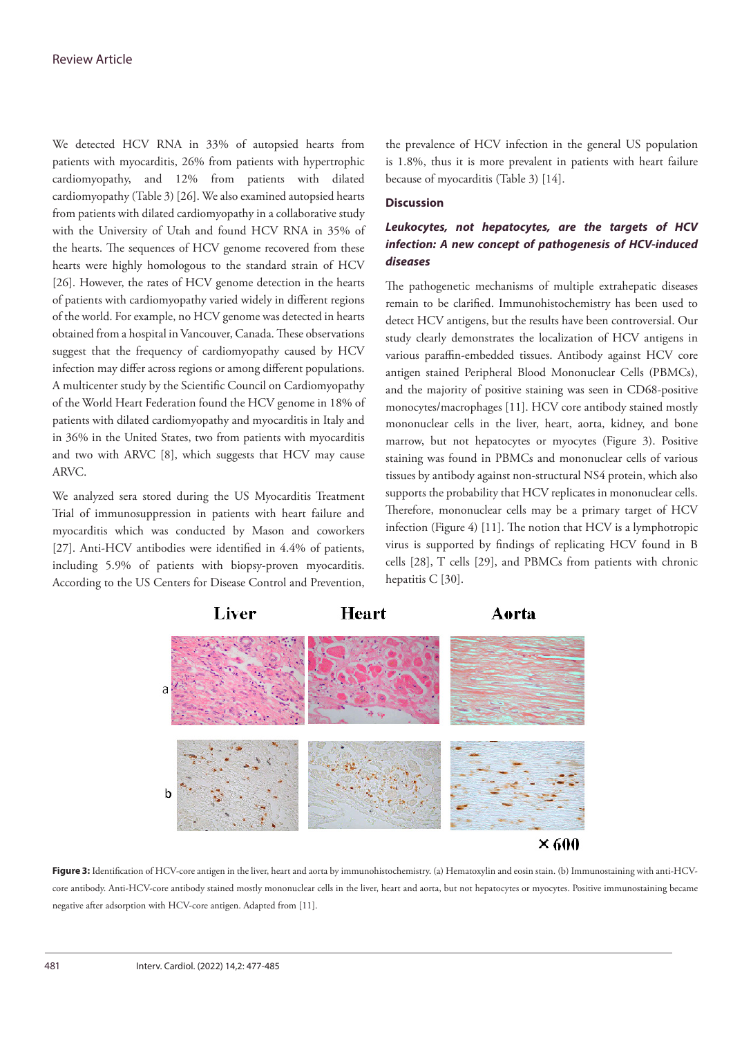We detected HCV RNA in 33% of autopsied hearts from patients with myocarditis, 26% from patients with hypertrophic cardiomyopathy, and 12% from patients with dilated cardiomyopathy (Table 3) [26]. We also examined autopsied hearts from patients with dilated cardiomyopathy in a collaborative study with the University of Utah and found HCV RNA in 35% of the hearts. The sequences of HCV genome recovered from these hearts were highly homologous to the standard strain of HCV [26]. However, the rates of HCV genome detection in the hearts of patients with cardiomyopathy varied widely in different regions of the world. For example, no HCV genome was detected in hearts obtained from a hospital in Vancouver, Canada. These observations suggest that the frequency of cardiomyopathy caused by HCV infection may differ across regions or among different populations. A multicenter study by the Scientific Council on Cardiomyopathy of the World Heart Federation found the HCV genome in 18% of patients with dilated cardiomyopathy and myocarditis in Italy and in 36% in the United States, two from patients with myocarditis and two with ARVC [8], which suggests that HCV may cause ARVC.

We analyzed sera stored during the US Myocarditis Treatment Trial of immunosuppression in patients with heart failure and myocarditis which was conducted by Mason and coworkers [27]. Anti-HCV antibodies were identified in 4.4% of patients, including 5.9% of patients with biopsy-proven myocarditis. According to the US Centers for Disease Control and Prevention,

the prevalence of HCV infection in the general US population is 1.8%, thus it is more prevalent in patients with heart failure because of myocarditis (Table 3) [14].

#### **Discussion**

# *Leukocytes, not hepatocytes, are the targets of HCV infection: A new concept of pathogenesis of HCV-induced diseases*

The pathogenetic mechanisms of multiple extrahepatic diseases remain to be clarified. Immunohistochemistry has been used to detect HCV antigens, but the results have been controversial. Our study clearly demonstrates the localization of HCV antigens in various paraffin-embedded tissues. Antibody against HCV core antigen stained Peripheral Blood Mononuclear Cells (PBMCs), and the majority of positive staining was seen in CD68-positive monocytes/macrophages [11]. HCV core antibody stained mostly mononuclear cells in the liver, heart, aorta, kidney, and bone marrow, but not hepatocytes or myocytes (Figure 3). Positive staining was found in PBMCs and mononuclear cells of various tissues by antibody against non-structural NS4 protein, which also supports the probability that HCV replicates in mononuclear cells. Therefore, mononuclear cells may be a primary target of HCV infection (Figure 4) [11]. The notion that HCV is a lymphotropic virus is supported by findings of replicating HCV found in B cells [28], T cells [29], and PBMCs from patients with chronic hepatitis C [30].



**Figure 3:** Identification of HCV-core antigen in the liver, heart and aorta by immunohistochemistry. (a) Hematoxylin and eosin stain. (b) Immunostaining with anti-HCVcore antibody. Anti-HCV-core antibody stained mostly mononuclear cells in the liver, heart and aorta, but not hepatocytes or myocytes. Positive immunostaining became negative after adsorption with HCV-core antigen. Adapted from [11].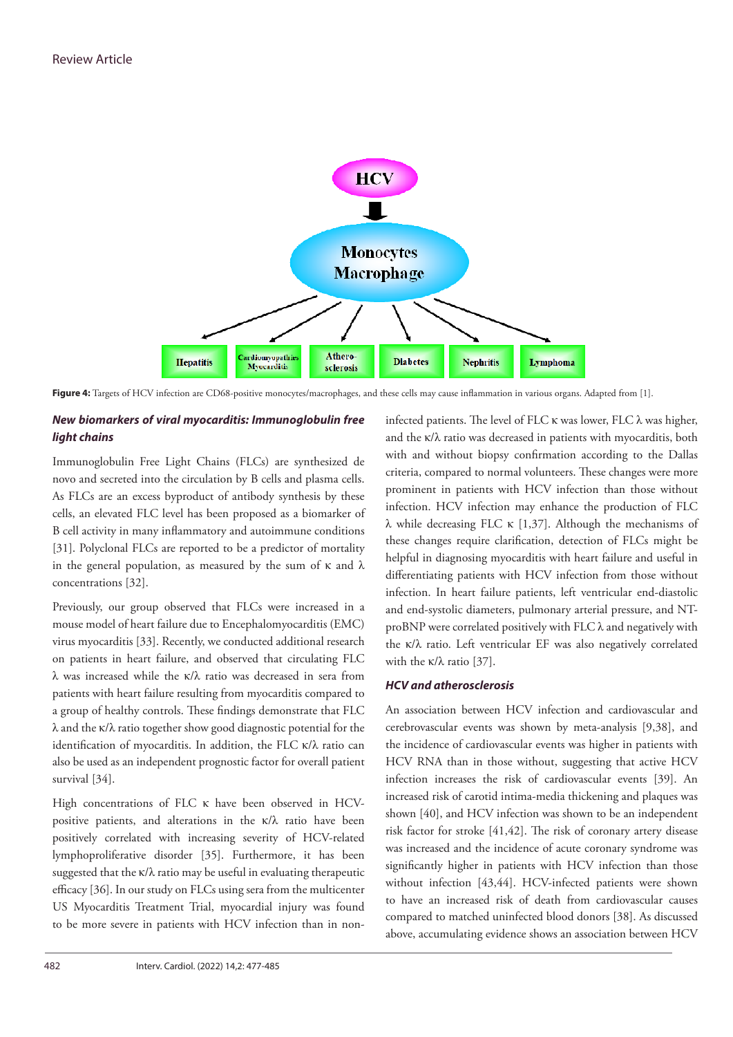

**Figure 4:** Targets of HCV infection are CD68-positive monocytes/macrophages, and these cells may cause inflammation in various organs. Adapted from [1].

# *New biomarkers of viral myocarditis: Immunoglobulin free light chains*

Immunoglobulin Free Light Chains (FLCs) are synthesized de novo and secreted into the circulation by B cells and plasma cells. As FLCs are an excess byproduct of antibody synthesis by these cells, an elevated FLC level has been proposed as a biomarker of B cell activity in many inflammatory and autoimmune conditions [31]. Polyclonal FLCs are reported to be a predictor of mortality in the general population, as measured by the sum of  $\kappa$  and  $\lambda$ concentrations [32].

Previously, our group observed that FLCs were increased in a mouse model of heart failure due to Encephalomyocarditis (EMC) virus myocarditis [33]. Recently, we conducted additional research on patients in heart failure, and observed that circulating FLC λ was increased while the κ/λ ratio was decreased in sera from patients with heart failure resulting from myocarditis compared to a group of healthy controls. These findings demonstrate that FLC λ and the κ/λ ratio together show good diagnostic potential for the identification of myocarditis. In addition, the FLC κ/λ ratio can also be used as an independent prognostic factor for overall patient survival [34].

High concentrations of FLC κ have been observed in HCVpositive patients, and alterations in the  $\kappa/\lambda$  ratio have been positively correlated with increasing severity of HCV-related lymphoproliferative disorder [35]. Furthermore, it has been suggested that the  $\kappa/\lambda$  ratio may be useful in evaluating therapeutic efficacy [36]. In our study on FLCs using sera from the multicenter US Myocarditis Treatment Trial, myocardial injury was found to be more severe in patients with HCV infection than in noninfected patients. The level of FLC  $\kappa$  was lower, FLC  $\lambda$  was higher, and the κ/λ ratio was decreased in patients with myocarditis, both with and without biopsy confirmation according to the Dallas criteria, compared to normal volunteers. These changes were more prominent in patients with HCV infection than those without infection. HCV infection may enhance the production of FLC λ while decreasing FLC κ [1,37]. Although the mechanisms of these changes require clarification, detection of FLCs might be helpful in diagnosing myocarditis with heart failure and useful in differentiating patients with HCV infection from those without infection. In heart failure patients, left ventricular end-diastolic and end-systolic diameters, pulmonary arterial pressure, and NT- $\text{probNP}$  were correlated positively with FLC  $\lambda$  and negatively with the κ/λ ratio. Left ventricular EF was also negatively correlated with the κ/λ ratio  $[37]$ .

## *HCV and atherosclerosis*

An association between HCV infection and cardiovascular and cerebrovascular events was shown by meta-analysis [9,38], and the incidence of cardiovascular events was higher in patients with HCV RNA than in those without, suggesting that active HCV infection increases the risk of cardiovascular events [39]. An increased risk of carotid intima-media thickening and plaques was shown [40], and HCV infection was shown to be an independent risk factor for stroke [41,42]. The risk of coronary artery disease was increased and the incidence of acute coronary syndrome was significantly higher in patients with HCV infection than those without infection [43,44]. HCV-infected patients were shown to have an increased risk of death from cardiovascular causes compared to matched uninfected blood donors [38]. As discussed above, accumulating evidence shows an association between HCV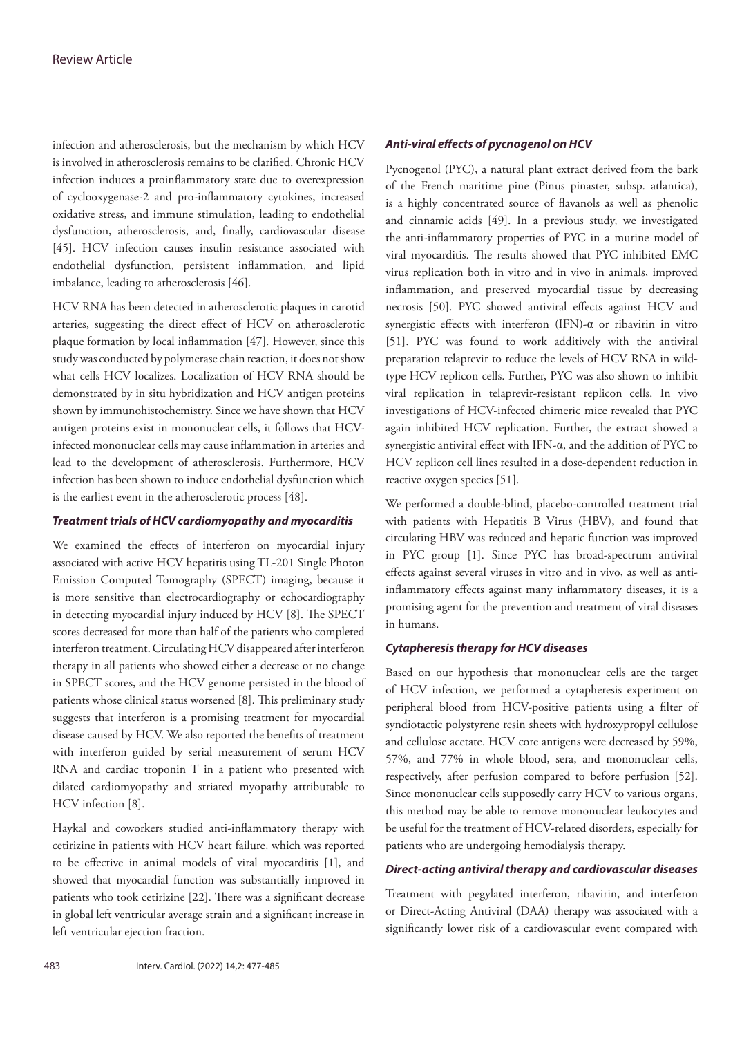infection and atherosclerosis, but the mechanism by which HCV is involved in atherosclerosis remains to be clarified. Chronic HCV infection induces a proinflammatory state due to overexpression of cyclooxygenase-2 and pro-inflammatory cytokines, increased oxidative stress, and immune stimulation, leading to endothelial dysfunction, atherosclerosis, and, finally, cardiovascular disease [45]. HCV infection causes insulin resistance associated with endothelial dysfunction, persistent inflammation, and lipid imbalance, leading to atherosclerosis [46].

HCV RNA has been detected in atherosclerotic plaques in carotid arteries, suggesting the direct effect of HCV on atherosclerotic plaque formation by local inflammation [47]. However, since this study was conducted by polymerase chain reaction, it does not show what cells HCV localizes. Localization of HCV RNA should be demonstrated by in situ hybridization and HCV antigen proteins shown by immunohistochemistry. Since we have shown that HCV antigen proteins exist in mononuclear cells, it follows that HCVinfected mononuclear cells may cause inflammation in arteries and lead to the development of atherosclerosis. Furthermore, HCV infection has been shown to induce endothelial dysfunction which is the earliest event in the atherosclerotic process [48].

### *Treatment trials of HCV cardiomyopathy and myocarditis*

We examined the effects of interferon on myocardial injury associated with active HCV hepatitis using TL-201 Single Photon Emission Computed Tomography (SPECT) imaging, because it is more sensitive than electrocardiography or echocardiography in detecting myocardial injury induced by HCV [8]. The SPECT scores decreased for more than half of the patients who completed interferon treatment. Circulating HCV disappeared after interferon therapy in all patients who showed either a decrease or no change in SPECT scores, and the HCV genome persisted in the blood of patients whose clinical status worsened [8]. This preliminary study suggests that interferon is a promising treatment for myocardial disease caused by HCV. We also reported the benefits of treatment with interferon guided by serial measurement of serum HCV RNA and cardiac troponin T in a patient who presented with dilated cardiomyopathy and striated myopathy attributable to HCV infection [8].

Haykal and coworkers studied anti-inflammatory therapy with cetirizine in patients with HCV heart failure, which was reported to be effective in animal models of viral myocarditis [1], and showed that myocardial function was substantially improved in patients who took cetirizine [22]. There was a significant decrease in global left ventricular average strain and a significant increase in left ventricular ejection fraction.

### *Anti-viral effects of pycnogenol on HCV*

Pycnogenol (PYC), a natural plant extract derived from the bark of the French maritime pine (Pinus pinaster, subsp. atlantica), is a highly concentrated source of flavanols as well as phenolic and cinnamic acids [49]. In a previous study, we investigated the anti-inflammatory properties of PYC in a murine model of viral myocarditis. The results showed that PYC inhibited EMC virus replication both in vitro and in vivo in animals, improved inflammation, and preserved myocardial tissue by decreasing necrosis [50]. PYC showed antiviral effects against HCV and synergistic effects with interferon (IFN)-α or ribavirin in vitro [51]. PYC was found to work additively with the antiviral preparation telaprevir to reduce the levels of HCV RNA in wildtype HCV replicon cells. Further, PYC was also shown to inhibit viral replication in telaprevir-resistant replicon cells. In vivo investigations of HCV-infected chimeric mice revealed that PYC again inhibited HCV replication. Further, the extract showed a synergistic antiviral effect with IFN-α, and the addition of PYC to HCV replicon cell lines resulted in a dose-dependent reduction in reactive oxygen species [51].

We performed a double-blind, placebo-controlled treatment trial with patients with Hepatitis B Virus (HBV), and found that circulating HBV was reduced and hepatic function was improved in PYC group [1]. Since PYC has broad-spectrum antiviral effects against several viruses in vitro and in vivo, as well as antiinflammatory effects against many inflammatory diseases, it is a promising agent for the prevention and treatment of viral diseases in humans.

### *Cytapheresis therapy for HCV diseases*

Based on our hypothesis that mononuclear cells are the target of HCV infection, we performed a cytapheresis experiment on peripheral blood from HCV-positive patients using a filter of syndiotactic polystyrene resin sheets with hydroxypropyl cellulose and cellulose acetate. HCV core antigens were decreased by 59%, 57%, and 77% in whole blood, sera, and mononuclear cells, respectively, after perfusion compared to before perfusion [52]. Since mononuclear cells supposedly carry HCV to various organs, this method may be able to remove mononuclear leukocytes and be useful for the treatment of HCV-related disorders, especially for patients who are undergoing hemodialysis therapy.

### *Direct-acting antiviral therapy and cardiovascular diseases*

Treatment with pegylated interferon, ribavirin, and interferon or Direct-Acting Antiviral (DAA) therapy was associated with a significantly lower risk of a cardiovascular event compared with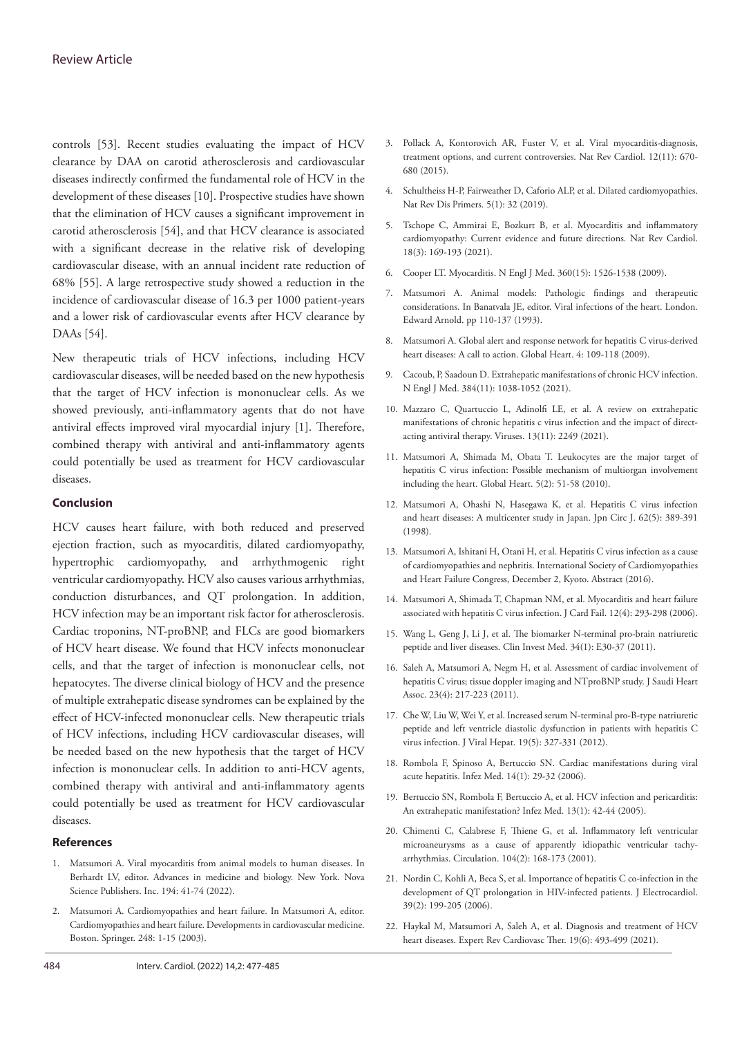controls [53]. Recent studies evaluating the impact of HCV clearance by DAA on carotid atherosclerosis and cardiovascular diseases indirectly confirmed the fundamental role of HCV in the development of these diseases [10]. Prospective studies have shown that the elimination of HCV causes a significant improvement in carotid atherosclerosis [54], and that HCV clearance is associated with a significant decrease in the relative risk of developing cardiovascular disease, with an annual incident rate reduction of 68% [55]. A large retrospective study showed a reduction in the incidence of cardiovascular disease of 16.3 per 1000 patient-years and a lower risk of cardiovascular events after HCV clearance by DAAs [54].

New therapeutic trials of HCV infections, including HCV cardiovascular diseases, will be needed based on the new hypothesis that the target of HCV infection is mononuclear cells. As we showed previously, anti-inflammatory agents that do not have antiviral effects improved viral myocardial injury [1]. Therefore, combined therapy with antiviral and anti-inflammatory agents could potentially be used as treatment for HCV cardiovascular diseases.

### **Conclusion**

HCV causes heart failure, with both reduced and preserved ejection fraction, such as myocarditis, dilated cardiomyopathy, hypertrophic cardiomyopathy, and arrhythmogenic right ventricular cardiomyopathy. HCV also causes various arrhythmias, conduction disturbances, and QT prolongation. In addition, HCV infection may be an important risk factor for atherosclerosis. Cardiac troponins, NT-proBNP, and FLCs are good biomarkers of HCV heart disease. We found that HCV infects mononuclear cells, and that the target of infection is mononuclear cells, not hepatocytes. The diverse clinical biology of HCV and the presence of multiple extrahepatic disease syndromes can be explained by the effect of HCV-infected mononuclear cells. New therapeutic trials of HCV infections, including HCV cardiovascular diseases, will be needed based on the new hypothesis that the target of HCV infection is mononuclear cells. In addition to anti-HCV agents, combined therapy with antiviral and anti-inflammatory agents could potentially be used as treatment for HCV cardiovascular diseases.

#### **References**

- 1. Matsumori A. Viral myocarditis from animal models to human diseases. In Berhardt LV, editor. Advances in medicine and biology. New York. Nova Science Publishers. Inc. 194: 41-74 (2022).
- 2. Matsumori A. Cardiomyopathies and heart failure. In Matsumori A, editor. Cardiomyopathies and heart failure. Developments in cardiovascular medicine. Boston. Springer. 248: 1-15 (2003).
- 3. Pollack A, Kontorovich AR, Fuster V, et al. [Viral myocarditis-diagnosis,](https://www.nature.com/articles/nrcardio.2015.108)  [treatment options, and current controversies.](https://www.nature.com/articles/nrcardio.2015.108) Nat Rev Cardiol. 12(11): 670- 680 (2015).
- 4. Schultheiss H-P, Fairweather D, Caforio ALP, et al. [Dilated cardiomyopathies.](https://www.nature.com/articles/s41572-019-0084-1)  Nat Rev Dis Primers. 5(1): 32 (2019).
- 5. Tschope C, Ammirai E, Bozkurt B, et al. [Myocarditis and inflammatory](https://www.nature.com/articles/s41569-020-00435-x)  [cardiomyopathy: Current evidence and future directions.](https://www.nature.com/articles/s41569-020-00435-x) Nat Rev Cardiol. 18(3): 169-193 (2021).
- 6. Cooper LT. [Myocarditis](https://doi.org/10.1056/nejmra0800028). N Engl J Med. 360(15): 1526-1538 (2009).
- 7. Matsumori A. Animal models: Pathologic findings and therapeutic considerations. In Banatvala JE, editor. Viral infections of the heart. London. Edward Arnold. pp 110-137 (1993).
- 8. Matsumori A. [Global alert and response network for hepatitis C virus-derived](https://www.sciencedirect.com/science/article/abs/pii/S1875457009000229)  [heart diseases: A call to action.](https://www.sciencedirect.com/science/article/abs/pii/S1875457009000229) Global Heart. 4: 109-118 (2009).
- 9. Cacoub, P, Saadoun D. [Extrahepatic manifestations of chronic HCV infection.](https://www.nejm.org/doi/10.1056/NEJMra2033539)  N Engl J Med. 384(11): 1038-1052 (2021).
- 10. Mazzaro C, Quartuccio L, Adinolfi LE, et al. [A review on extrahepatic](https://www.mdpi.com/1999-4915/13/11/2249)  [manifestations of chronic hepatitis c virus infection and the impact of direct](https://www.mdpi.com/1999-4915/13/11/2249)[acting antiviral therapy.](https://www.mdpi.com/1999-4915/13/11/2249) Viruses. 13(11): 2249 (2021).
- 11. Matsumori A, Shimada M, Obata T. [Leukocytes are the major target of](https://globalheartjournal.com/articles/abstract/10.1016/j.cvdpc.2010.04.005/)  [hepatitis C virus infection: Possible mechanism of multiorgan involvement](https://globalheartjournal.com/articles/abstract/10.1016/j.cvdpc.2010.04.005/)  [including the heart.](https://globalheartjournal.com/articles/abstract/10.1016/j.cvdpc.2010.04.005/) Global Heart. 5(2): 51-58 (2010).
- 12. Matsumori A, Ohashi N, Hasegawa K, et al. [Hepatitis C virus infection](https://www.jstage.jst.go.jp/article/jcj/62/5/62_5_389/_article)  [and heart diseases: A multicenter study in Japan.](https://www.jstage.jst.go.jp/article/jcj/62/5/62_5_389/_article) Jpn Circ J. 62(5): 389-391 (1998).
- 13. Matsumori A, Ishitani H, Otani H, et al. Hepatitis C virus infection as a cause of cardiomyopathies and nephritis. International Society of Cardiomyopathies and Heart Failure Congress, December 2, Kyoto. Abstract (2016).
- 14. Matsumori A, Shimada T, Chapman NM, et al. [Myocarditis and heart failure](https://www.onlinejcf.com/article/S1071-9164(05)01339-4/fulltext)  [associated with hepatitis C virus infection.](https://www.onlinejcf.com/article/S1071-9164(05)01339-4/fulltext) J Card Fail. 12(4): 293-298 (2006).
- 15. Wang L, Geng J, Li J, et al. [The biomarker N-terminal pro-brain natriuretic](https://cimonline.ca/index.php/cim/article/view/14910)  [peptide and liver diseases.](https://cimonline.ca/index.php/cim/article/view/14910) Clin Invest Med. 34(1): E30-37 (2011).
- 16. Saleh A, Matsumori A, Negm H, et al. [Assessment of cardiac involvement of](https://www.sciencedirect.com/science/article/pii/S101673151100159X?via%3Dihub)  [hepatitis C virus; tissue doppler imaging and NTproBNP study.](https://www.sciencedirect.com/science/article/pii/S101673151100159X?via%3Dihub) J Saudi Heart Assoc. 23(4): 217-223 (2011).
- 17. Che W, Liu W, Wei Y, et al. [Increased serum N-terminal pro-B-type natriuretic](https://onlinelibrary.wiley.com/doi/10.1111/j.1365-2893.2011.01551.x)  [peptide and left ventricle diastolic dysfunction in patients with hepatitis C](https://onlinelibrary.wiley.com/doi/10.1111/j.1365-2893.2011.01551.x)  [virus infection.](https://onlinelibrary.wiley.com/doi/10.1111/j.1365-2893.2011.01551.x) J Viral Hepat. 19(5): 327-331 (2012).
- 18. Rombola F, Spinoso A, Bertuccio SN. Cardiac manifestations during viral acute hepatitis. Infez Med. 14(1): 29-32 (2006).
- 19. Bertuccio SN, Rombola F, Bertuccio A, et al. HCV infection and pericarditis: An extrahepatic manifestation? Infez Med. 13(1): 42-44 (2005).
- 20. Chimenti C, Calabrese F, Thiene G, et al[. Inflammatory left ventricular](https://www.ahajournals.org/doi/10.1161/01.CIR.104.2.168)  [microaneurysms as a cause of apparently idiopathic ventricular tachy](https://www.ahajournals.org/doi/10.1161/01.CIR.104.2.168)[arrhythmias.](https://www.ahajournals.org/doi/10.1161/01.CIR.104.2.168) Circulation. 104(2): 168-173 (2001).
- 21. Nordin C, Kohli A, Beca S, et al. [Importance of hepatitis C co-infection in the](https://www.sciencedirect.com/science/article/abs/pii/S0022073605002943?via%3Dihub)  [development of QT prolongation in HIV-infected patients.](https://www.sciencedirect.com/science/article/abs/pii/S0022073605002943?via%3Dihub) J Electrocardiol. 39(2): 199-205 (2006).
- 22. Haykal M, Matsumori A, Saleh A, et al. [Diagnosis and treatment of HCV](https://www.tandfonline.com/doi/abs/10.1080/14779072.2021.1917383?journalCode=ierk20)  [heart diseases.](https://www.tandfonline.com/doi/abs/10.1080/14779072.2021.1917383?journalCode=ierk20) Expert Rev Cardiovasc Ther. 19(6): 493-499 (2021).